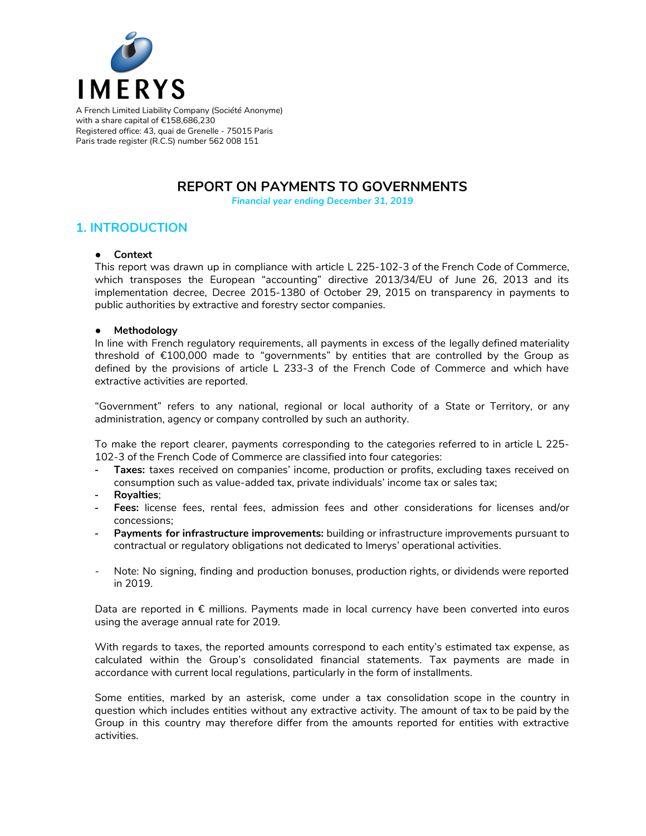

A French Limited Liability Company (Société Anonyme) with a share capital of €158,686,230 Registered office: 43, quai de Grenelle - 75015 Paris Paris trade register (R.C.S) number 562 008 151

## **REPORT ON PAYMENTS TO GOVERNMENTS**

*Financial year ending December 31, 2019*

### **1. INTRODUCTION**

#### **● Context**

This report was drawn up in compliance with article L 225-102-3 of the French Code of Commerce, which transposes the European "accounting" directive 2013/34/EU of June 26, 2013 and its implementation decree, Decree 2015-1380 of October 29, 2015 on transparency in payments to public authorities by extractive and forestry sector companies.

#### **● Methodology**

In line with French regulatory requirements, all payments in excess of the legally defined materiality threshold of €100,000 made to "governments" by entities that are controlled by the Group as defined by the provisions of article L 233-3 of the French Code of Commerce and which have extractive activities are reported.

"Government" refers to any national, regional or local authority of a State or Territory, or any administration, agency or company controlled by such an authority.

To make the report clearer, payments corresponding to the categories referred to in article L 225- 102-3 of the French Code of Commerce are classified into four categories:

- **Taxes:** taxes received on companies' income, production or profits, excluding taxes received on consumption such as value-added tax, private individuals' income tax or sales tax;
- **Royalties**;
- **Fees:** license fees, rental fees, admission fees and other considerations for licenses and/or concessions;
- **Payments for infrastructure improvements:** building or infrastructure improvements pursuant to contractual or regulatory obligations not dedicated to Imerys' operational activities.
- Note: No signing, finding and production bonuses, production rights, or dividends were reported in 2019.

Data are reported in € millions. Payments made in local currency have been converted into euros using the average annual rate for 2019.

With regards to taxes, the reported amounts correspond to each entity's estimated tax expense, as calculated within the Group's consolidated financial statements. Tax payments are made in accordance with current local regulations, particularly in the form of installments.

Some entities, marked by an asterisk, come under a tax consolidation scope in the country in question which includes entities without any extractive activity. The amount of tax to be paid by the Group in this country may therefore differ from the amounts reported for entities with extractive activities.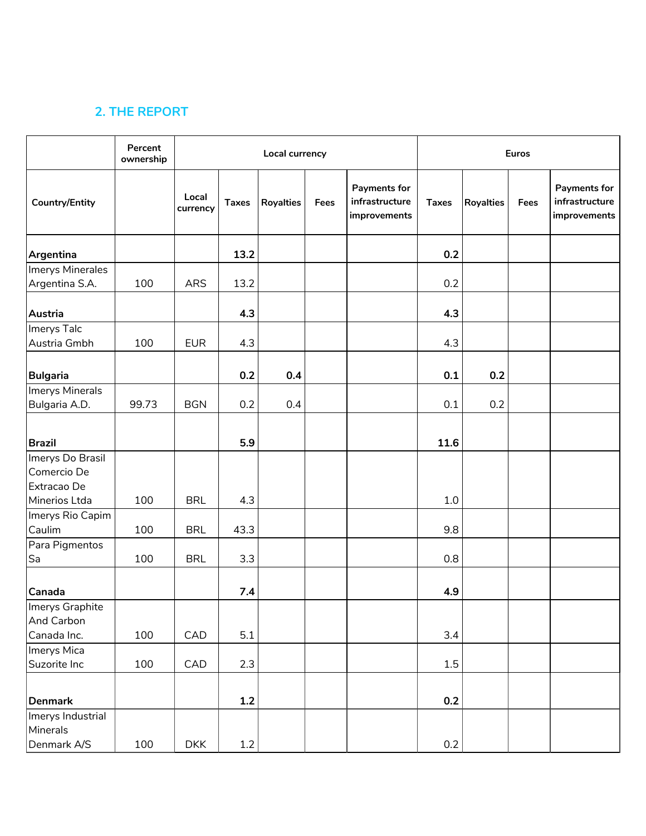# **2. THE REPORT**

|                                              | Percent<br>ownership |                   |              | Local currency   |      | <b>Euros</b>                                   |              |                  |      |                                                |
|----------------------------------------------|----------------------|-------------------|--------------|------------------|------|------------------------------------------------|--------------|------------------|------|------------------------------------------------|
| <b>Country/Entity</b>                        |                      | Local<br>currency | <b>Taxes</b> | <b>Royalties</b> | Fees | Payments for<br>infrastructure<br>improvements | <b>Taxes</b> | <b>Royalties</b> | Fees | Payments for<br>infrastructure<br>improvements |
| Argentina                                    |                      |                   | 13.2         |                  |      |                                                | 0.2          |                  |      |                                                |
| Imerys Minerales<br>Argentina S.A.           | 100                  | ARS               | 13.2         |                  |      |                                                | 0.2          |                  |      |                                                |
| Austria                                      |                      |                   | 4.3          |                  |      |                                                | 4.3          |                  |      |                                                |
| Imerys Talc<br>Austria Gmbh                  | 100                  | <b>EUR</b>        | 4.3          |                  |      |                                                | 4.3          |                  |      |                                                |
| <b>Bulgaria</b>                              |                      |                   | 0.2          | 0.4              |      |                                                | 0.1          | 0.2              |      |                                                |
| Imerys Minerals<br>Bulgaria A.D.             | 99.73                | <b>BGN</b>        | 0.2          | 0.4              |      |                                                | 0.1          | 0.2              |      |                                                |
| <b>Brazil</b>                                |                      |                   | 5.9          |                  |      |                                                | 11.6         |                  |      |                                                |
| Imerys Do Brasil<br>Comercio De              |                      |                   |              |                  |      |                                                |              |                  |      |                                                |
| Extracao De<br>Minerios Ltda                 | 100                  | <b>BRL</b>        | 4.3          |                  |      |                                                | 1.0          |                  |      |                                                |
| Imerys Rio Capim<br>Caulim                   | 100                  | <b>BRL</b>        | 43.3         |                  |      |                                                | 9.8          |                  |      |                                                |
| Para Pigmentos<br>Sa                         | 100                  | <b>BRL</b>        | 3.3          |                  |      |                                                | 0.8          |                  |      |                                                |
| Canada                                       |                      |                   | 7.4          |                  |      |                                                | 4.9          |                  |      |                                                |
| Imerys Graphite<br>And Carbon<br>Canada Inc. | 100                  | CAD               | 5.1          |                  |      |                                                | 3.4          |                  |      |                                                |
| Imerys Mica<br>Suzorite Inc                  | 100                  | CAD               | 2.3          |                  |      |                                                | $1.5\,$      |                  |      |                                                |
| Denmark                                      |                      |                   | 1.2          |                  |      |                                                | 0.2          |                  |      |                                                |
| Imerys Industrial<br>Minerals<br>Denmark A/S | 100                  | <b>DKK</b>        | $1.2\,$      |                  |      |                                                | $0.2\,$      |                  |      |                                                |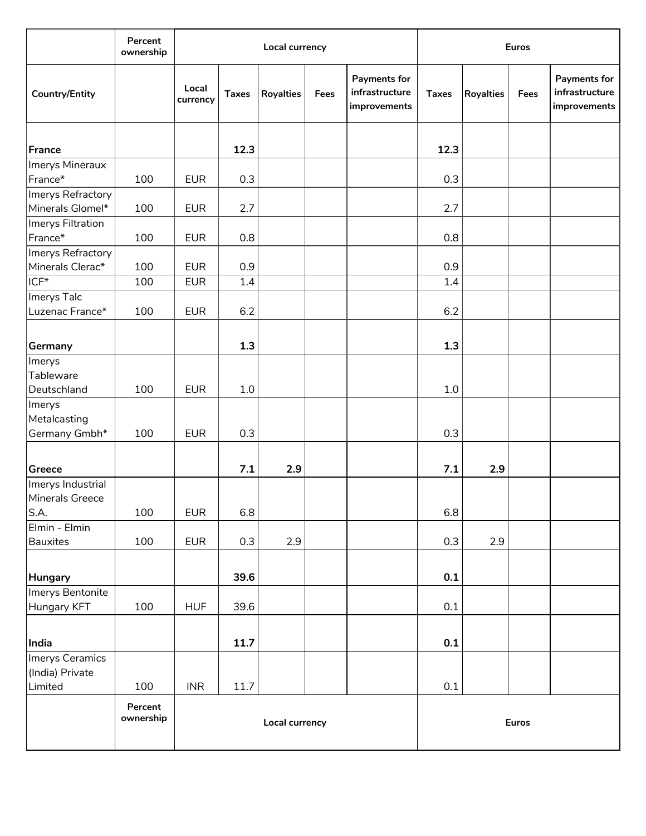|                                               | Percent<br>ownership |                   |              | Local currency   |      | <b>Euros</b>                                   |              |           |      |                                                       |
|-----------------------------------------------|----------------------|-------------------|--------------|------------------|------|------------------------------------------------|--------------|-----------|------|-------------------------------------------------------|
| <b>Country/Entity</b>                         |                      | Local<br>currency | <b>Taxes</b> | <b>Royalties</b> | Fees | Payments for<br>infrastructure<br>improvements | <b>Taxes</b> | Royalties | Fees | <b>Payments for</b><br>infrastructure<br>improvements |
| France                                        |                      |                   | 12.3         |                  |      |                                                | 12.3         |           |      |                                                       |
| Imerys Mineraux<br>France*                    | 100                  | <b>EUR</b>        | 0.3          |                  |      |                                                | 0.3          |           |      |                                                       |
| Imerys Refractory<br>Minerals Glomel*         | 100                  | <b>EUR</b>        | 2.7          |                  |      |                                                | 2.7          |           |      |                                                       |
| Imerys Filtration<br>France*                  | 100                  | <b>EUR</b>        | 0.8          |                  |      |                                                | 0.8          |           |      |                                                       |
| Imerys Refractory<br>Minerals Clerac*         | 100                  | <b>EUR</b>        | 0.9          |                  |      |                                                | 0.9          |           |      |                                                       |
| $ICF*$                                        | 100                  | <b>EUR</b>        | 1.4          |                  |      |                                                | 1.4          |           |      |                                                       |
| Imerys Talc<br>Luzenac France*                | 100                  | <b>EUR</b>        | 6.2          |                  |      |                                                | 6.2          |           |      |                                                       |
| Germany                                       |                      |                   | 1.3          |                  |      |                                                | 1.3          |           |      |                                                       |
| Imerys<br>Tableware<br>Deutschland            | 100                  | <b>EUR</b>        | 1.0          |                  |      |                                                | 1.0          |           |      |                                                       |
| Imerys<br>Metalcasting<br>Germany Gmbh*       | 100                  | <b>EUR</b>        | 0.3          |                  |      |                                                | 0.3          |           |      |                                                       |
| Greece                                        |                      |                   | 7.1          | 2.9              |      |                                                | 7.1          | 2.9       |      |                                                       |
| Imerys Industrial<br>Minerals Greece<br>S.A.  | 100                  | <b>EUR</b>        | 6.8          |                  |      |                                                | 6.8          |           |      |                                                       |
| Elmin - Elmin<br><b>Bauxites</b>              | 100                  | <b>EUR</b>        | 0.3          | 2.9              |      |                                                | 0.3          | 2.9       |      |                                                       |
| Hungary                                       |                      |                   | 39.6         |                  |      |                                                | 0.1          |           |      |                                                       |
| Imerys Bentonite<br>Hungary KFT               | 100                  | <b>HUF</b>        | 39.6         |                  |      |                                                | 0.1          |           |      |                                                       |
| India                                         |                      |                   | 11.7         |                  |      |                                                | 0.1          |           |      |                                                       |
| Imerys Ceramics<br>(India) Private<br>Limited | 100                  | <b>INR</b>        | 11.7         |                  |      |                                                | 0.1          |           |      |                                                       |
|                                               | Percent<br>ownership |                   |              | Local currency   |      | Euros                                          |              |           |      |                                                       |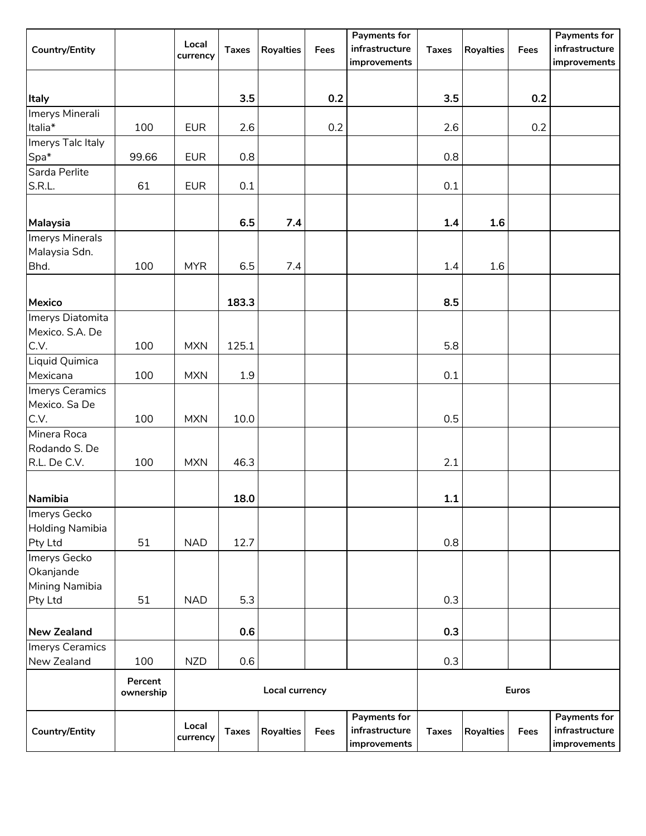| <b>Country/Entity</b>      |                      | Local<br>currency | <b>Taxes</b> | <b>Royalties</b> | Fees | <b>Payments for</b><br>infrastructure<br>improvements | <b>Taxes</b> | <b>Royalties</b> | Fees | <b>Payments for</b><br>infrastructure<br>improvements |
|----------------------------|----------------------|-------------------|--------------|------------------|------|-------------------------------------------------------|--------------|------------------|------|-------------------------------------------------------|
|                            |                      |                   |              |                  |      |                                                       |              |                  |      |                                                       |
| Italy                      |                      |                   | 3.5          |                  | 0.2  |                                                       | 3.5          |                  | 0.2  |                                                       |
| Imerys Minerali<br>Italia* | 100                  | <b>EUR</b>        | 2.6          |                  | 0.2  |                                                       | 2.6          |                  | 0.2  |                                                       |
| Imerys Talc Italy          |                      |                   |              |                  |      |                                                       |              |                  |      |                                                       |
| Spa*                       | 99.66                | <b>EUR</b>        | 0.8          |                  |      |                                                       | 0.8          |                  |      |                                                       |
| Sarda Perlite              |                      |                   |              |                  |      |                                                       |              |                  |      |                                                       |
| S.R.L.                     | 61                   | <b>EUR</b>        | $0.1\,$      |                  |      |                                                       | 0.1          |                  |      |                                                       |
| Malaysia                   |                      |                   | 6.5          | 7.4              |      |                                                       | 1.4          | 1.6              |      |                                                       |
| Imerys Minerals            |                      |                   |              |                  |      |                                                       |              |                  |      |                                                       |
| Malaysia Sdn.<br>Bhd.      | 100                  | <b>MYR</b>        | 6.5          | 7.4              |      |                                                       | $1.4\,$      | 1.6              |      |                                                       |
| Mexico                     |                      |                   | 183.3        |                  |      |                                                       | 8.5          |                  |      |                                                       |
| Imerys Diatomita           |                      |                   |              |                  |      |                                                       |              |                  |      |                                                       |
| Mexico. S.A. De            |                      |                   |              |                  |      |                                                       |              |                  |      |                                                       |
| C.V.                       | 100                  | <b>MXN</b>        | 125.1        |                  |      |                                                       | 5.8          |                  |      |                                                       |
| Liquid Quimica<br>Mexicana | 100                  | <b>MXN</b>        | 1.9          |                  |      |                                                       | 0.1          |                  |      |                                                       |
| Imerys Ceramics            |                      |                   |              |                  |      |                                                       |              |                  |      |                                                       |
| Mexico. Sa De<br>C.V.      | 100                  | <b>MXN</b>        | 10.0         |                  |      |                                                       | 0.5          |                  |      |                                                       |
| Minera Roca                |                      |                   |              |                  |      |                                                       |              |                  |      |                                                       |
| Rodando S. De              |                      |                   |              |                  |      |                                                       |              |                  |      |                                                       |
| R.L. De C.V.               | 100                  | <b>MXN</b>        | 46.3         |                  |      |                                                       | 2.1          |                  |      |                                                       |
| Namibia                    |                      |                   | 18.0         |                  |      |                                                       | 1.1          |                  |      |                                                       |
| Imerys Gecko               |                      |                   |              |                  |      |                                                       |              |                  |      |                                                       |
| Holding Namibia<br>Pty Ltd | 51                   | <b>NAD</b>        | 12.7         |                  |      |                                                       | 0.8          |                  |      |                                                       |
| Imerys Gecko               |                      |                   |              |                  |      |                                                       |              |                  |      |                                                       |
| Okanjande                  |                      |                   |              |                  |      |                                                       |              |                  |      |                                                       |
| Mining Namibia<br>Pty Ltd  | 51                   | <b>NAD</b>        | 5.3          |                  |      |                                                       | 0.3          |                  |      |                                                       |
|                            |                      |                   |              |                  |      |                                                       |              |                  |      |                                                       |
| <b>New Zealand</b>         |                      |                   | 0.6          |                  |      |                                                       | 0.3          |                  |      |                                                       |
| Imerys Ceramics            |                      |                   |              |                  |      |                                                       |              |                  |      |                                                       |
| New Zealand                | 100                  | <b>NZD</b>        | 0.6          |                  |      |                                                       | 0.3          |                  |      |                                                       |
|                            | Percent<br>ownership |                   |              | Local currency   |      | <b>Euros</b>                                          |              |                  |      |                                                       |
|                            |                      |                   |              |                  |      | Payments for                                          |              |                  |      | Payments for                                          |
| Country/Entity             |                      | Local<br>currency | <b>Taxes</b> | <b>Royalties</b> | Fees | infrastructure<br>improvements                        | <b>Taxes</b> | <b>Royalties</b> | Fees | infrastructure<br>improvements                        |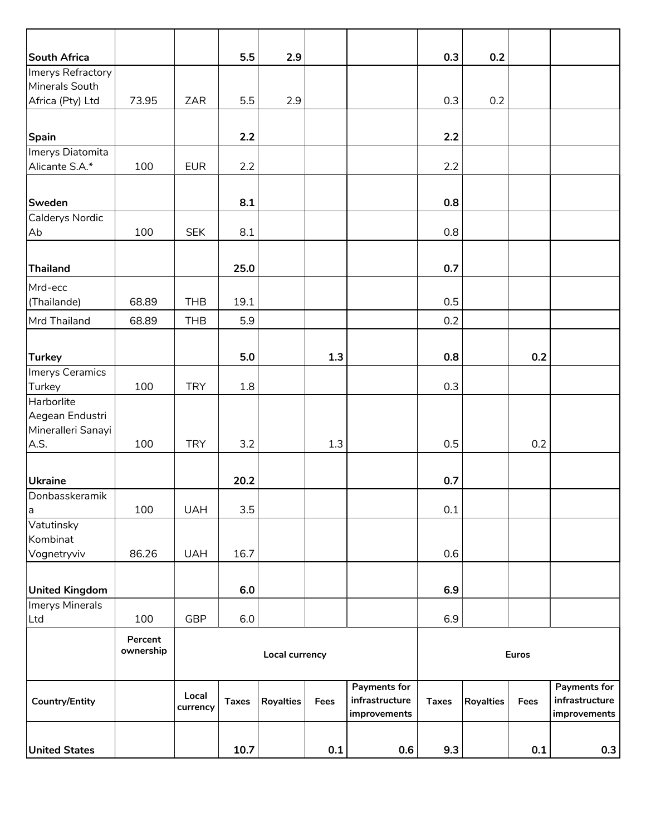| South Africa                     |                      |            | 5.5          | 2.9                   |      |                | 0.3          | 0.2              |              |                |
|----------------------------------|----------------------|------------|--------------|-----------------------|------|----------------|--------------|------------------|--------------|----------------|
| Imerys Refractory                |                      |            |              |                       |      |                |              |                  |              |                |
| Minerals South                   |                      |            |              |                       |      |                |              |                  |              |                |
| Africa (Pty) Ltd                 | 73.95                | ZAR        | 5.5          | 2.9                   |      |                | 0.3          | 0.2              |              |                |
|                                  |                      |            |              |                       |      |                |              |                  |              |                |
| Spain                            |                      |            | 2.2          |                       |      |                | 2.2          |                  |              |                |
| Imerys Diatomita                 |                      |            |              |                       |      |                |              |                  |              |                |
| Alicante S.A.*                   | 100                  | <b>EUR</b> | 2.2          |                       |      |                | 2.2          |                  |              |                |
|                                  |                      |            |              |                       |      |                |              |                  |              |                |
| Sweden                           |                      |            | 8.1          |                       |      |                | 0.8          |                  |              |                |
| Calderys Nordic                  |                      |            |              |                       |      |                |              |                  |              |                |
| Ab                               | 100                  | <b>SEK</b> | 8.1          |                       |      |                | 0.8          |                  |              |                |
|                                  |                      |            |              |                       |      |                |              |                  |              |                |
| <b>Thailand</b>                  |                      |            | 25.0         |                       |      |                | 0.7          |                  |              |                |
| Mrd-ecc                          |                      |            |              |                       |      |                |              |                  |              |                |
| (Thailande)                      | 68.89                | <b>THB</b> | 19.1         |                       |      |                | 0.5          |                  |              |                |
| Mrd Thailand                     | 68.89                | <b>THB</b> | 5.9          |                       |      |                | 0.2          |                  |              |                |
|                                  |                      |            |              |                       |      |                |              |                  |              |                |
|                                  |                      |            |              |                       |      |                |              |                  |              |                |
| <b>Turkey</b><br>Imerys Ceramics |                      |            | 5.0          |                       | 1.3  |                | 0.8          |                  | 0.2          |                |
| Turkey                           | 100                  | <b>TRY</b> | 1.8          |                       |      |                | 0.3          |                  |              |                |
| Harborlite                       |                      |            |              |                       |      |                |              |                  |              |                |
| Aegean Endustri                  |                      |            |              |                       |      |                |              |                  |              |                |
| Mineralleri Sanayi               |                      |            |              |                       |      |                |              |                  |              |                |
| A.S.                             | 100                  | <b>TRY</b> | 3.2          |                       | 1.3  |                | 0.5          |                  | 0.2          |                |
|                                  |                      |            |              |                       |      |                |              |                  |              |                |
| <b>Ukraine</b>                   |                      |            | 20.2         |                       |      |                | 0.7          |                  |              |                |
| Donbasskeramik                   |                      |            |              |                       |      |                |              |                  |              |                |
| a                                | 100                  | <b>UAH</b> | 3.5          |                       |      |                | 0.1          |                  |              |                |
| Vatutinsky                       |                      |            |              |                       |      |                |              |                  |              |                |
| Kombinat                         |                      |            |              |                       |      |                |              |                  |              |                |
| Vognetryviv                      | 86.26                | <b>UAH</b> | 16.7         |                       |      |                | 0.6          |                  |              |                |
|                                  |                      |            |              |                       |      |                |              |                  |              |                |
| <b>United Kingdom</b>            |                      |            | 6.0          |                       |      |                | 6.9          |                  |              |                |
| Imerys Minerals                  |                      |            |              |                       |      |                |              |                  |              |                |
| Ltd                              | 100                  | <b>GBP</b> | 6.0          |                       |      |                | 6.9          |                  |              |                |
|                                  | Percent<br>ownership |            |              |                       |      |                |              |                  |              |                |
|                                  |                      |            |              | <b>Local currency</b> |      |                |              |                  | <b>Euros</b> |                |
|                                  |                      |            |              |                       |      | Payments for   |              |                  |              | Payments for   |
| <b>Country/Entity</b>            |                      | Local      | <b>Taxes</b> | <b>Royalties</b>      | Fees | infrastructure | <b>Taxes</b> | <b>Royalties</b> | Fees         | infrastructure |
|                                  |                      | currency   |              |                       |      | improvements   |              |                  |              | improvements   |
|                                  |                      |            |              |                       |      |                |              |                  |              |                |
| <b>United States</b>             |                      |            | 10.7         |                       | 0.1  | 0.6            | 9.3          |                  | 0.1          | 0.3            |